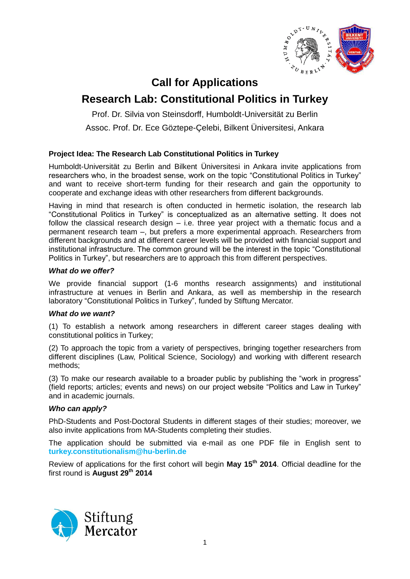

# **Call for Applications**

# **Research Lab: Constitutional Politics in Turkey**

Prof. Dr. Silvia von Steinsdorff, Humboldt-Universität zu Berlin

Assoc. Prof. Dr. Ece Göztepe-Çelebi, Bilkent Üniversitesi, Ankara

# **Project Idea: The Research Lab Constitutional Politics in Turkey**

Humboldt-Universität zu Berlin and Bilkent Üniversitesi in Ankara invite applications from researchers who, in the broadest sense, work on the topic "Constitutional Politics in Turkey" and want to receive short-term funding for their research and gain the opportunity to cooperate and exchange ideas with other researchers from different backgrounds.

Having in mind that research is often conducted in hermetic isolation, the research lab "Constitutional Politics in Turkey" is conceptualized as an alternative setting. It does not follow the classical research design – i.e. three year project with a thematic focus and a permanent research team –, but prefers a more experimental approach. Researchers from different backgrounds and at different career levels will be provided with financial support and institutional infrastructure. The common ground will be the interest in the topic "Constitutional Politics in Turkey", but researchers are to approach this from different perspectives.

## *What do we offer?*

We provide financial support (1-6 months research assignments) and institutional infrastructure at venues in Berlin and Ankara, as well as membership in the research laboratory "Constitutional Politics in Turkey", funded by Stiftung Mercator.

### *What do we want?*

(1) To establish a network among researchers in different career stages dealing with constitutional politics in Turkey;

(2) To approach the topic from a variety of perspectives, bringing together researchers from different disciplines (Law, Political Science, Sociology) and working with different research methods;

(3) To make our research available to a broader public by publishing the "work in progress" (field reports; articles; events and news) on our project website "Politics and Law in Turkey" and in academic journals.

## *Who can apply?*

PhD-Students and Post-Doctoral Students in different stages of their studies; moreover, we also invite applications from MA-Students completing their studies.

The application should be submitted via e-mail as one PDF file in English sent to **[turkey.constitutionalism@hu-berlin.de](mailto:turkey.constitutionalism@hu-berlin.de)**

Review of applications for the first cohort will begin **May 15th 2014**. Official deadline for the first round is **August 29 th 2014**